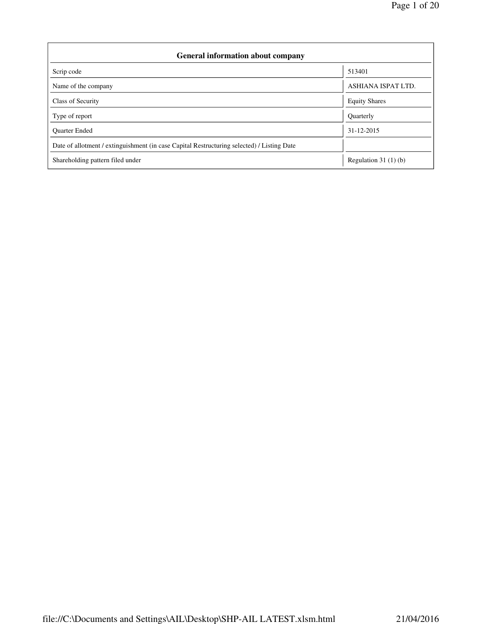| <b>General information about company</b>                                                   |                        |  |  |  |  |  |  |
|--------------------------------------------------------------------------------------------|------------------------|--|--|--|--|--|--|
| Scrip code                                                                                 | 513401                 |  |  |  |  |  |  |
| Name of the company                                                                        | ASHIANA ISPAT LTD.     |  |  |  |  |  |  |
| Class of Security                                                                          | <b>Equity Shares</b>   |  |  |  |  |  |  |
| Type of report                                                                             | <b>Ouarterly</b>       |  |  |  |  |  |  |
| <b>Ouarter Ended</b>                                                                       | 31-12-2015             |  |  |  |  |  |  |
| Date of allotment / extinguishment (in case Capital Restructuring selected) / Listing Date |                        |  |  |  |  |  |  |
| Shareholding pattern filed under                                                           | Regulation 31 $(1)(b)$ |  |  |  |  |  |  |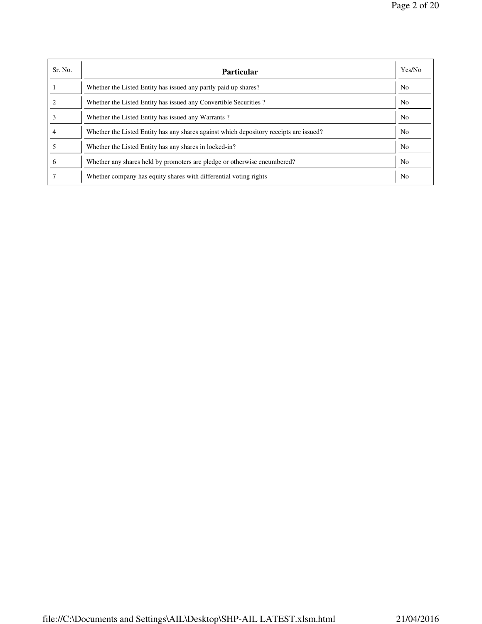| Sr. No. | <b>Particular</b>                                                                      | Yes/No         |
|---------|----------------------------------------------------------------------------------------|----------------|
|         | Whether the Listed Entity has issued any partly paid up shares?                        | N <sub>0</sub> |
|         | Whether the Listed Entity has issued any Convertible Securities?                       | N <sub>0</sub> |
|         | Whether the Listed Entity has issued any Warrants?                                     | N <sub>0</sub> |
|         | Whether the Listed Entity has any shares against which depository receipts are issued? | N <sub>0</sub> |
|         | Whether the Listed Entity has any shares in locked-in?                                 | N <sub>0</sub> |
| 6       | Whether any shares held by promoters are pledge or otherwise encumbered?               | N <sub>0</sub> |
|         | Whether company has equity shares with differential voting rights                      | N <sub>0</sub> |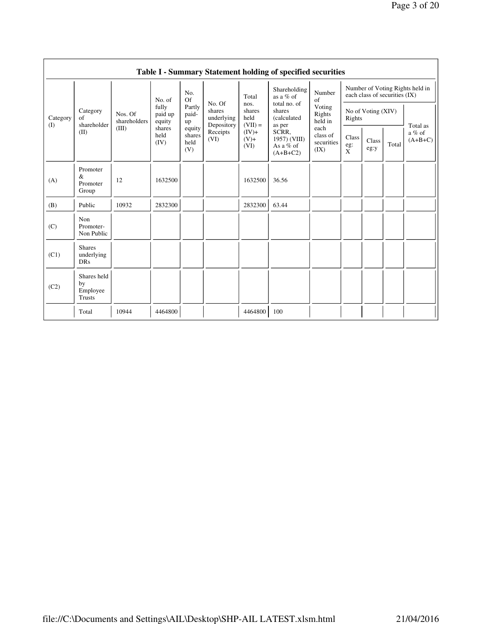|                 | Table I - Summary Statement holding of specified securities |                         |                            |                                 |                                                                  |                                                                    |                                                                                                     |                                        |                              |                                                                  |       |                     |
|-----------------|-------------------------------------------------------------|-------------------------|----------------------------|---------------------------------|------------------------------------------------------------------|--------------------------------------------------------------------|-----------------------------------------------------------------------------------------------------|----------------------------------------|------------------------------|------------------------------------------------------------------|-------|---------------------|
|                 |                                                             |                         | No. of                     | No.<br>Of                       | No. Of<br>shares<br>underlying<br>Depository<br>Receipts<br>(VI) | Total                                                              | Shareholding<br>as a $%$ of                                                                         | Number<br>of                           |                              | Number of Voting Rights held in<br>each class of securities (IX) |       |                     |
| Category<br>(I) | Category<br>$\sigma$ f<br>shareholder                       | Nos. Of<br>shareholders | fully<br>paid up<br>equity | Partly<br>paid-<br>up           |                                                                  | nos.<br>shares<br>held<br>$(VII) =$<br>$(IV) +$<br>$(V)$ +<br>(VI) | total no. of<br>shares<br>(calculated<br>as per<br>SCRR,<br>1957) (VIII)<br>As a % of<br>$(A+B+C2)$ | Voting<br>Rights<br>held in            | Rights                       | No of Voting (XIV)                                               |       | Total as            |
|                 | (II)                                                        | (III)                   | shares<br>held<br>(IV)     | equity<br>shares<br>held<br>(V) |                                                                  |                                                                    |                                                                                                     | each<br>class of<br>securities<br>(IX) | Class<br>eg:<br>$\mathbf{x}$ | Class<br>eg:y                                                    | Total | a % of<br>$(A+B+C)$ |
| (A)             | Promoter<br>$\&$<br>Promoter<br>Group                       | 12                      | 1632500                    |                                 |                                                                  | 1632500                                                            | 36.56                                                                                               |                                        |                              |                                                                  |       |                     |
| (B)             | Public                                                      | 10932                   | 2832300                    |                                 |                                                                  | 2832300                                                            | 63.44                                                                                               |                                        |                              |                                                                  |       |                     |
| (C)             | Non<br>Promoter-<br>Non Public                              |                         |                            |                                 |                                                                  |                                                                    |                                                                                                     |                                        |                              |                                                                  |       |                     |
| (C1)            | <b>Shares</b><br>underlying<br><b>DRs</b>                   |                         |                            |                                 |                                                                  |                                                                    |                                                                                                     |                                        |                              |                                                                  |       |                     |
| (C2)            | Shares held<br>by<br>Employee<br>Trusts                     |                         |                            |                                 |                                                                  |                                                                    |                                                                                                     |                                        |                              |                                                                  |       |                     |
|                 | Total                                                       | 10944                   | 4464800                    |                                 |                                                                  | 4464800                                                            | 100                                                                                                 |                                        |                              |                                                                  |       |                     |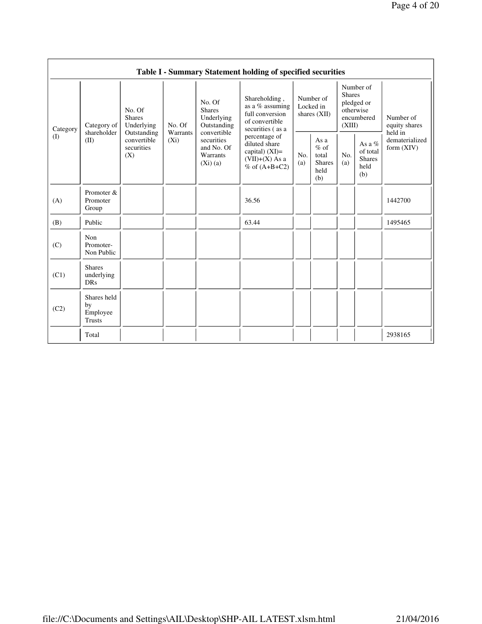|                 | Table I - Summary Statement holding of specified securities |                                                      |                     |                                                                                                                        |                                                                                              |            |                                                         |            |                                                                               |                                       |  |  |
|-----------------|-------------------------------------------------------------|------------------------------------------------------|---------------------|------------------------------------------------------------------------------------------------------------------------|----------------------------------------------------------------------------------------------|------------|---------------------------------------------------------|------------|-------------------------------------------------------------------------------|---------------------------------------|--|--|
| Category<br>(I) | Category of<br>shareholder<br>(II)                          | No. Of<br><b>Shares</b><br>Underlying<br>Outstanding | No. Of              | No. Of<br><b>Shares</b><br>Underlying<br>Outstanding<br>convertible<br>securities<br>and No. Of<br>Warrants<br>(Xi)(a) | Shareholding,<br>as a % assuming<br>full conversion<br>of convertible<br>securities (as a    |            | Number of<br>Locked in<br>shares $(XII)$                |            | Number of<br><b>Shares</b><br>pledged or<br>otherwise<br>encumbered<br>(XIII) | Number of<br>equity shares<br>held in |  |  |
|                 |                                                             | convertible<br>securities<br>(X)                     | Warrants<br>$(X_i)$ |                                                                                                                        | percentage of<br>diluted share<br>capital) $(XI)$ =<br>$(VII)+(X)$ As a<br>$%$ of $(A+B+C2)$ | No.<br>(a) | As a<br>$%$ of<br>total<br><b>Shares</b><br>held<br>(b) | No.<br>(a) | As a $%$<br>of total<br><b>Shares</b><br>held<br>(b)                          | dematerialized<br>form $(XIV)$        |  |  |
| (A)             | Promoter &<br>Promoter<br>Group                             |                                                      |                     |                                                                                                                        | 36.56                                                                                        |            |                                                         |            |                                                                               | 1442700                               |  |  |
| (B)             | Public                                                      |                                                      |                     |                                                                                                                        | 63.44                                                                                        |            |                                                         |            |                                                                               | 1495465                               |  |  |
| (C)             | Non<br>Promoter-<br>Non Public                              |                                                      |                     |                                                                                                                        |                                                                                              |            |                                                         |            |                                                                               |                                       |  |  |
| (C1)            | <b>Shares</b><br>underlying<br><b>DRs</b>                   |                                                      |                     |                                                                                                                        |                                                                                              |            |                                                         |            |                                                                               |                                       |  |  |
| (C2)            | Shares held<br>by<br>Employee<br><b>Trusts</b>              |                                                      |                     |                                                                                                                        |                                                                                              |            |                                                         |            |                                                                               |                                       |  |  |
|                 | Total                                                       |                                                      |                     |                                                                                                                        |                                                                                              |            |                                                         |            |                                                                               | 2938165                               |  |  |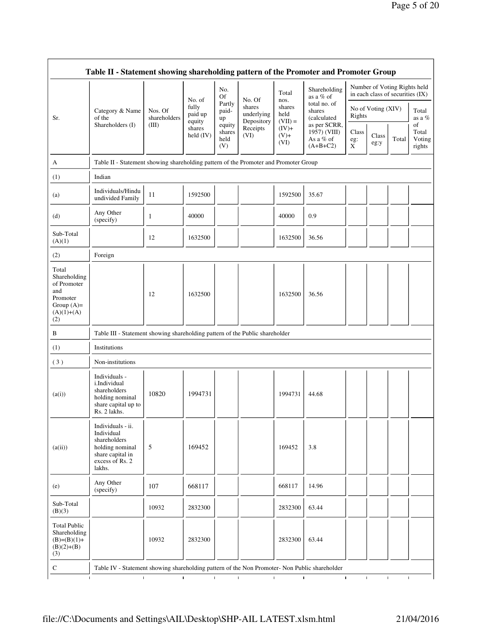|                                                                                                | Table II - Statement showing shareholding pattern of the Promoter and Promoter Group                                          |                                  |                            |                                 |                                    |                             |                                                        |                              |                                                                  |                              |                           |
|------------------------------------------------------------------------------------------------|-------------------------------------------------------------------------------------------------------------------------------|----------------------------------|----------------------------|---------------------------------|------------------------------------|-----------------------------|--------------------------------------------------------|------------------------------|------------------------------------------------------------------|------------------------------|---------------------------|
|                                                                                                |                                                                                                                               |                                  | No. of                     | No.<br><b>Of</b>                | No. Of                             | Total<br>nos.               | Shareholding<br>as a % of                              |                              | Number of Voting Rights held<br>in each class of securities (IX) |                              |                           |
| Sr.                                                                                            | Category & Name<br>of the<br>Shareholders (I)                                                                                 | Nos. Of<br>shareholders<br>(III) | fully<br>paid up<br>equity | Partly<br>paid-<br>up<br>equity | shares<br>underlying<br>Depository | shares<br>held<br>$(VII) =$ | total no. of<br>shares<br>(calculated)<br>as per SCRR, | Rights                       | No of Voting (XIV)                                               |                              | Total<br>as a $%$<br>of   |
|                                                                                                |                                                                                                                               |                                  | shares<br>held (IV)        | shares<br>held<br>(V)           | Receipts<br>(VI)                   | $(IV)+$<br>$(V)$ +<br>(VI)  | 1957) (VIII)<br>As a $%$ of<br>$(A+B+C2)$              | Class<br>eg:<br>$\mathbf{X}$ | Class<br>eg:y                                                    | Total                        | Total<br>Voting<br>rights |
| A                                                                                              | Table II - Statement showing shareholding pattern of the Promoter and Promoter Group                                          |                                  |                            |                                 |                                    |                             |                                                        |                              |                                                                  |                              |                           |
| (1)                                                                                            | Indian                                                                                                                        |                                  |                            |                                 |                                    |                             |                                                        |                              |                                                                  |                              |                           |
| (a)                                                                                            | Individuals/Hindu<br>undivided Family                                                                                         | 11                               | 1592500                    |                                 |                                    | 1592500                     | 35.67                                                  |                              |                                                                  |                              |                           |
| (d)                                                                                            | Any Other<br>(specify)                                                                                                        | $\mathbf{1}$                     | 40000                      |                                 |                                    | 40000                       | 0.9                                                    |                              |                                                                  |                              |                           |
| Sub-Total<br>(A)(1)                                                                            |                                                                                                                               | 12                               | 1632500                    |                                 |                                    | 1632500                     | 36.56                                                  |                              |                                                                  |                              |                           |
| (2)                                                                                            | Foreign                                                                                                                       |                                  |                            |                                 |                                    |                             |                                                        |                              |                                                                  |                              |                           |
| Total<br>Shareholding<br>of Promoter<br>and<br>Promoter<br>Group $(A)=$<br>$(A)(1)+(A)$<br>(2) |                                                                                                                               | 12                               | 1632500                    |                                 |                                    | 1632500                     | 36.56                                                  |                              |                                                                  |                              |                           |
| B                                                                                              | Table III - Statement showing shareholding pattern of the Public shareholder                                                  |                                  |                            |                                 |                                    |                             |                                                        |                              |                                                                  |                              |                           |
| (1)                                                                                            | Institutions                                                                                                                  |                                  |                            |                                 |                                    |                             |                                                        |                              |                                                                  |                              |                           |
| (3)                                                                                            | Non-institutions                                                                                                              |                                  |                            |                                 |                                    |                             |                                                        |                              |                                                                  |                              |                           |
| (a(i))                                                                                         | Individuals -<br>i.Individual<br>shareholders<br>holding nominal<br>share capital up to<br>Rs. 2 lakhs.                       | 10820                            | 1994731                    |                                 |                                    | 1994731                     | 44.68                                                  |                              |                                                                  |                              |                           |
| (a(ii))                                                                                        | Individuals - ii.<br>Individual<br>shareholders<br>holding nominal<br>share capital in<br>excess of Rs. 2<br>lakhs.           | 5                                | 169452                     |                                 |                                    | 169452                      | 3.8                                                    |                              |                                                                  |                              |                           |
| (e)                                                                                            | Any Other<br>(specify)                                                                                                        | 107                              | 668117                     |                                 |                                    | 668117                      | 14.96                                                  |                              |                                                                  |                              |                           |
| Sub-Total<br>(B)(3)                                                                            |                                                                                                                               | 10932                            | 2832300                    |                                 |                                    | 2832300                     | 63.44                                                  |                              |                                                                  |                              |                           |
| <b>Total Public</b><br>Shareholding<br>$(B)=(B)(1)+$<br>$(B)(2)+(B)$<br>(3)                    |                                                                                                                               | 10932                            | 2832300                    |                                 |                                    | 2832300                     | 63.44                                                  |                              |                                                                  |                              |                           |
| $\mathbf C$                                                                                    | Table IV - Statement showing shareholding pattern of the Non Promoter- Non Public shareholder<br>$\mathbf{L}$<br>$\mathbf{L}$ |                                  | $\mathbf{I}$               | $\mathbf{L}$                    | $\mathbf{L}$                       | $\mathbf{L}$                | $\mathbf{I}$                                           | $\mathbf{I}$                 | $\mathbf{I}$                                                     | $\mathbf{I}$<br>$\mathbf{I}$ |                           |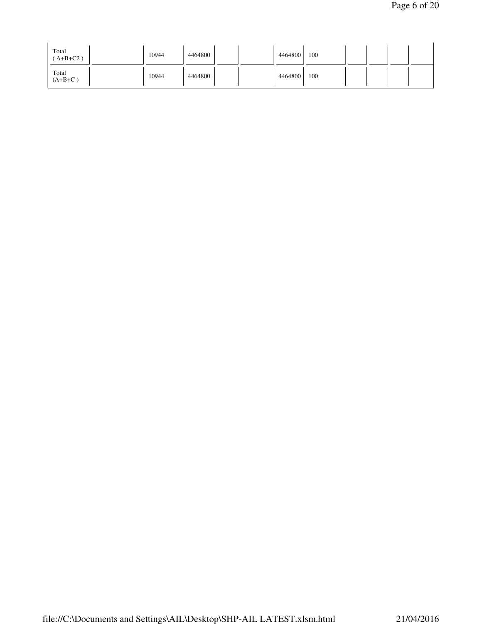| Total<br>$A+B+C2$ ) | 10944 | 4464800 |  | 4464800 | 100 |  |  |
|---------------------|-------|---------|--|---------|-----|--|--|
| Total<br>$(A+B+C)$  | 10944 | 4464800 |  | 4464800 | 100 |  |  |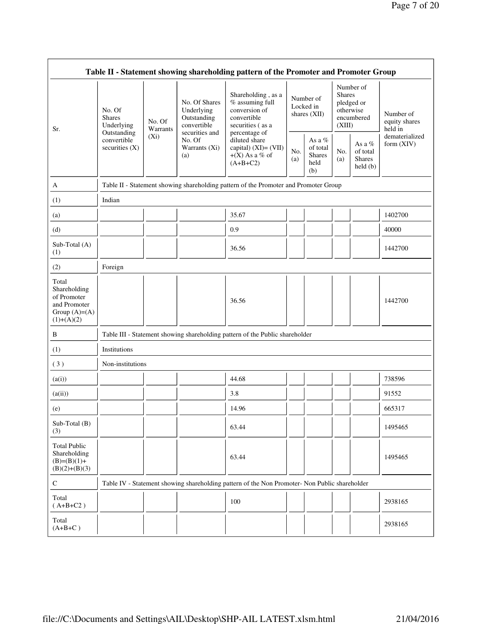| Table II - Statement showing shareholding pattern of the Promoter and Promoter Group     |                                              |                    |                                                           |                                                                                               |            |                                                    |                                                                               |                                                  |                                       |  |
|------------------------------------------------------------------------------------------|----------------------------------------------|--------------------|-----------------------------------------------------------|-----------------------------------------------------------------------------------------------|------------|----------------------------------------------------|-------------------------------------------------------------------------------|--------------------------------------------------|---------------------------------------|--|
| Sr.                                                                                      | No. Of<br><b>Shares</b><br>Underlying        | No. Of<br>Warrants | No. Of Shares<br>Underlying<br>Outstanding<br>convertible | Shareholding, as a<br>$%$ assuming full<br>conversion of<br>convertible<br>securities (as a   |            | Number of<br>Locked in<br>shares (XII)             | Number of<br><b>Shares</b><br>pledged or<br>otherwise<br>encumbered<br>(XIII) |                                                  | Number of<br>equity shares<br>held in |  |
|                                                                                          | Outstanding<br>convertible<br>securities (X) | $(X_i)$            | securities and<br>No. Of<br>Warrants (Xi)<br>(a)          | percentage of<br>diluted share<br>capital) (XI)= (VII)<br>$+(X)$ As a % of<br>$(A+B+C2)$      | No.<br>(a) | As a %<br>of total<br><b>Shares</b><br>held<br>(b) | No.<br>(a)                                                                    | As a $%$<br>of total<br><b>Shares</b><br>held(b) | dematerialized<br>form (XIV)          |  |
| A                                                                                        |                                              |                    |                                                           | Table II - Statement showing shareholding pattern of the Promoter and Promoter Group          |            |                                                    |                                                                               |                                                  |                                       |  |
| (1)                                                                                      | Indian                                       |                    |                                                           |                                                                                               |            |                                                    |                                                                               |                                                  |                                       |  |
| (a)                                                                                      |                                              |                    |                                                           | 35.67                                                                                         |            |                                                    |                                                                               |                                                  | 1402700                               |  |
| (d)                                                                                      |                                              |                    |                                                           | 0.9                                                                                           |            |                                                    |                                                                               |                                                  | 40000                                 |  |
| Sub-Total (A)<br>(1)                                                                     |                                              |                    |                                                           | 36.56                                                                                         |            |                                                    |                                                                               |                                                  | 1442700                               |  |
| (2)                                                                                      | Foreign                                      |                    |                                                           |                                                                                               |            |                                                    |                                                                               |                                                  |                                       |  |
| Total<br>Shareholding<br>of Promoter<br>and Promoter<br>Group $(A)= (A)$<br>$(1)+(A)(2)$ |                                              |                    |                                                           | 36.56                                                                                         |            |                                                    |                                                                               |                                                  | 1442700                               |  |
| B                                                                                        |                                              |                    |                                                           | Table III - Statement showing shareholding pattern of the Public shareholder                  |            |                                                    |                                                                               |                                                  |                                       |  |
| (1)                                                                                      | Institutions                                 |                    |                                                           |                                                                                               |            |                                                    |                                                                               |                                                  |                                       |  |
| (3)                                                                                      | Non-institutions                             |                    |                                                           |                                                                                               |            |                                                    |                                                                               |                                                  |                                       |  |
| (a(i))                                                                                   |                                              |                    |                                                           | 44.68                                                                                         |            |                                                    |                                                                               |                                                  | 738596                                |  |
| (a(ii))                                                                                  |                                              |                    |                                                           | 3.8                                                                                           |            |                                                    |                                                                               |                                                  | 91552                                 |  |
| (e)                                                                                      |                                              |                    |                                                           | 14.96                                                                                         |            |                                                    |                                                                               |                                                  | 665317                                |  |
| Sub-Total (B)<br>(3)                                                                     |                                              |                    |                                                           | 63.44                                                                                         |            |                                                    |                                                                               |                                                  | 1495465                               |  |
| <b>Total Public</b><br>Shareholding<br>$(B)=(B)(1)+$<br>$(B)(2)+(B)(3)$                  |                                              |                    |                                                           | 63.44                                                                                         |            |                                                    |                                                                               |                                                  | 1495465                               |  |
| $\mathsf{C}$                                                                             |                                              |                    |                                                           | Table IV - Statement showing shareholding pattern of the Non Promoter- Non Public shareholder |            |                                                    |                                                                               |                                                  |                                       |  |
| Total<br>$(A+B+C2)$                                                                      |                                              |                    |                                                           | 100                                                                                           |            |                                                    |                                                                               |                                                  | 2938165                               |  |
| Total<br>$(A+B+C)$                                                                       |                                              |                    |                                                           |                                                                                               |            |                                                    |                                                                               |                                                  | 2938165                               |  |

 $\blacksquare$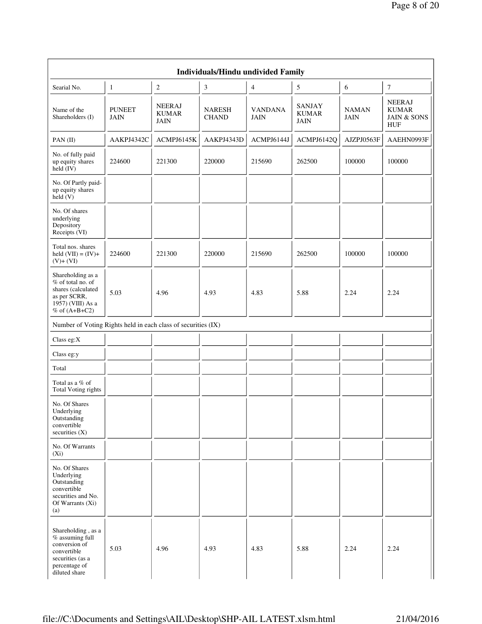|                                                                                                                             |                              |                                       | Individuals/Hindu undivided Family |                               |                                       |                             |                                                                |
|-----------------------------------------------------------------------------------------------------------------------------|------------------------------|---------------------------------------|------------------------------------|-------------------------------|---------------------------------------|-----------------------------|----------------------------------------------------------------|
| Searial No.                                                                                                                 | $\mathbf{1}$                 | $\sqrt{2}$                            | 3                                  | 4                             | 5                                     | 6                           | $\boldsymbol{7}$                                               |
| Name of the<br>Shareholders (I)                                                                                             | <b>PUNEET</b><br><b>JAIN</b> | <b>NEERAJ</b><br><b>KUMAR</b><br>JAIN | <b>NARESH</b><br><b>CHAND</b>      | <b>VANDANA</b><br><b>JAIN</b> | <b>SANJAY</b><br><b>KUMAR</b><br>JAIN | <b>NAMAN</b><br><b>JAIN</b> | <b>NEERAJ</b><br><b>KUMAR</b><br><b>JAIN &amp; SONS</b><br>HUF |
| PAN(II)                                                                                                                     | AAKPJ4342C                   | ACMPJ6145K                            | AAKPJ4343D                         | ACMPJ6144J                    | ACMPJ6142Q                            | AJZPJ0563F                  | AAEHN0993F                                                     |
| No. of fully paid<br>up equity shares<br>held (IV)                                                                          | 224600                       | 221300                                | 220000                             | 215690                        | 262500                                | 100000                      | 100000                                                         |
| No. Of Partly paid-<br>up equity shares<br>held(V)                                                                          |                              |                                       |                                    |                               |                                       |                             |                                                                |
| No. Of shares<br>underlying<br>Depository<br>Receipts (VI)                                                                  |                              |                                       |                                    |                               |                                       |                             |                                                                |
| Total nos. shares<br>held $(VII) = (IV) +$<br>$(V)+(VI)$                                                                    | 224600                       | 221300                                | 220000                             | 215690                        | 262500                                | 100000                      | 100000                                                         |
| Shareholding as a<br>% of total no. of<br>shares (calculated<br>as per SCRR,<br>1957) (VIII) As a<br>% of $(A+B+C2)$        | 5.03                         | 4.96                                  | 4.93                               | 4.83                          | 5.88                                  | 2.24                        | 2.24                                                           |
| Number of Voting Rights held in each class of securities (IX)                                                               |                              |                                       |                                    |                               |                                       |                             |                                                                |
| Class eg: $X$                                                                                                               |                              |                                       |                                    |                               |                                       |                             |                                                                |
| Class eg:y                                                                                                                  |                              |                                       |                                    |                               |                                       |                             |                                                                |
| Total                                                                                                                       |                              |                                       |                                    |                               |                                       |                             |                                                                |
| Total as a % of<br><b>Total Voting rights</b>                                                                               |                              |                                       |                                    |                               |                                       |                             |                                                                |
| No. Of Shares<br>Underlying<br>Outstanding<br>convertible<br>securities (X)                                                 |                              |                                       |                                    |                               |                                       |                             |                                                                |
| No. Of Warrants<br>$(X_i)$                                                                                                  |                              |                                       |                                    |                               |                                       |                             |                                                                |
| No. Of Shares<br>Underlying<br>Outstanding<br>convertible<br>securities and No.<br>Of Warrants (Xi)<br>(a)                  |                              |                                       |                                    |                               |                                       |                             |                                                                |
| Shareholding, as a<br>% assuming full<br>conversion of<br>convertible<br>securities (as a<br>percentage of<br>diluted share | 5.03                         | 4.96                                  | 4.93                               | 4.83                          | 5.88                                  | 2.24                        | 2.24                                                           |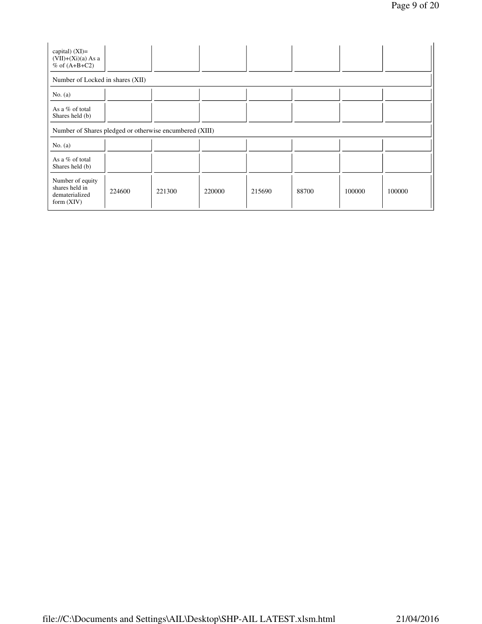| capital) $(XI)$ =<br>$(VII)+(Xi)(a) As a$<br>$%$ of $(A+B+C2)$       |        |        |        |        |       |        |        |
|----------------------------------------------------------------------|--------|--------|--------|--------|-------|--------|--------|
| Number of Locked in shares (XII)                                     |        |        |        |        |       |        |        |
| No. $(a)$                                                            |        |        |        |        |       |        |        |
| As a % of total<br>Shares held (b)                                   |        |        |        |        |       |        |        |
| Number of Shares pledged or otherwise encumbered (XIII)              |        |        |        |        |       |        |        |
| No. $(a)$                                                            |        |        |        |        |       |        |        |
| As a % of total<br>Shares held (b)                                   |        |        |        |        |       |        |        |
| Number of equity<br>shares held in<br>dematerialized<br>form $(XIV)$ | 224600 | 221300 | 220000 | 215690 | 88700 | 100000 | 100000 |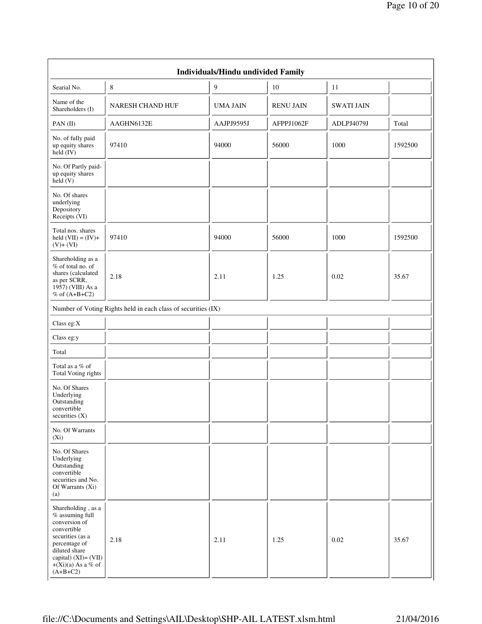| <b>Individuals/Hindu undivided Family</b>                                                                                                                                                              |                                                               |                 |                  |                   |         |  |  |  |  |  |
|--------------------------------------------------------------------------------------------------------------------------------------------------------------------------------------------------------|---------------------------------------------------------------|-----------------|------------------|-------------------|---------|--|--|--|--|--|
| Searial No.                                                                                                                                                                                            | $\,8\,$                                                       | $\mathbf{9}$    | 10               | 11                |         |  |  |  |  |  |
| Name of the<br>Shareholders (I)                                                                                                                                                                        | NARESH CHAND HUF                                              | <b>UMA JAIN</b> | <b>RENU JAIN</b> | <b>SWATI JAIN</b> |         |  |  |  |  |  |
| PAN(II)                                                                                                                                                                                                | AAGHN6132E                                                    | AAJPJ9595J      | AFPPJ1062F       | ADLPJ4079J        | Total   |  |  |  |  |  |
| No. of fully paid<br>up equity shares<br>$held$ (IV)                                                                                                                                                   | 97410                                                         | 94000           | 56000            | 1000              | 1592500 |  |  |  |  |  |
| No. Of Partly paid-<br>up equity shares<br>held(V)                                                                                                                                                     |                                                               |                 |                  |                   |         |  |  |  |  |  |
| No. Of shares<br>underlying<br>Depository<br>Receipts (VI)                                                                                                                                             |                                                               |                 |                  |                   |         |  |  |  |  |  |
| Total nos. shares<br>held $(VII) = (IV) +$<br>$(V)+(VI)$                                                                                                                                               | 97410                                                         | 94000           | 56000            | 1000              | 1592500 |  |  |  |  |  |
| Shareholding as a<br>% of total no. of<br>shares (calculated<br>as per SCRR,<br>1957) (VIII) As a<br>$%$ of $(A+B+C2)$                                                                                 | 2.18                                                          | 2.11            | 1.25             | 0.02              | 35.67   |  |  |  |  |  |
|                                                                                                                                                                                                        | Number of Voting Rights held in each class of securities (IX) |                 |                  |                   |         |  |  |  |  |  |
| Class eg:X                                                                                                                                                                                             |                                                               |                 |                  |                   |         |  |  |  |  |  |
| Class eg:y                                                                                                                                                                                             |                                                               |                 |                  |                   |         |  |  |  |  |  |
| Total                                                                                                                                                                                                  |                                                               |                 |                  |                   |         |  |  |  |  |  |
| Total as a % of<br><b>Total Voting rights</b>                                                                                                                                                          |                                                               |                 |                  |                   |         |  |  |  |  |  |
| No. Of Shares<br>Underlying<br>Outstanding<br>convertible<br>securities (X)                                                                                                                            |                                                               |                 |                  |                   |         |  |  |  |  |  |
| No. Of Warrants<br>$(X_i)$                                                                                                                                                                             |                                                               |                 |                  |                   |         |  |  |  |  |  |
| No. Of Shares<br>Underlying<br>Outstanding<br>convertible<br>securities and No.<br>Of Warrants (Xi)<br>(a)                                                                                             |                                                               |                 |                  |                   |         |  |  |  |  |  |
| Shareholding, as a<br>$%$ assuming full<br>conversion of<br>convertible<br>securities (as a<br>percentage of<br>diluted share<br>capital) $(XI) = (VII)$<br>$+(\tilde{X}i)(a)$ As a % of<br>$(A+B+C2)$ | 2.18                                                          | 2.11            | 1.25             | 0.02              | 35.67   |  |  |  |  |  |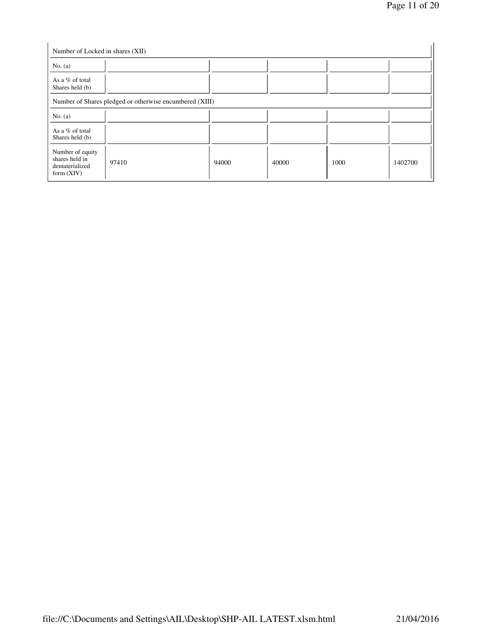| Number of Locked in shares (XII)                                     |                                                         |       |       |      |         |
|----------------------------------------------------------------------|---------------------------------------------------------|-------|-------|------|---------|
| No. $(a)$                                                            |                                                         |       |       |      |         |
| As a % of total<br>Shares held (b)                                   |                                                         |       |       |      |         |
|                                                                      | Number of Shares pledged or otherwise encumbered (XIII) |       |       |      |         |
| No. $(a)$                                                            |                                                         |       |       |      |         |
| As a % of total<br>Shares held (b)                                   |                                                         |       |       |      |         |
| Number of equity<br>shares held in<br>dematerialized<br>form $(XIV)$ | 97410                                                   | 94000 | 40000 | 1000 | 1402700 |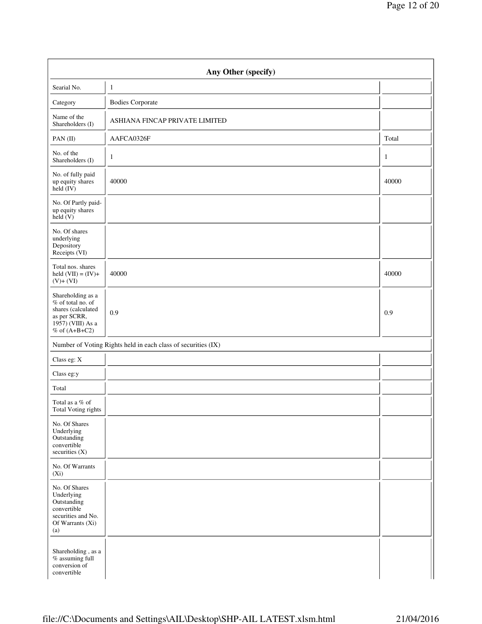|                                                                                                                        | Any Other (specify)                                           |              |
|------------------------------------------------------------------------------------------------------------------------|---------------------------------------------------------------|--------------|
| Searial No.                                                                                                            | $\mathbf{1}$                                                  |              |
| Category                                                                                                               | <b>Bodies Corporate</b>                                       |              |
| Name of the<br>Shareholders (I)                                                                                        | ASHIANA FINCAP PRIVATE LIMITED                                |              |
| PAN(II)                                                                                                                | AAFCA0326F                                                    | Total        |
| No. of the<br>Shareholders (I)                                                                                         | $\mathbf{1}$                                                  | $\mathbf{1}$ |
| No. of fully paid<br>up equity shares<br>$\text{held} (IV)$                                                            | 40000                                                         | 40000        |
| No. Of Partly paid-<br>up equity shares<br>$\text{held}(V)$                                                            |                                                               |              |
| No. Of shares<br>underlying<br>Depository<br>Receipts (VI)                                                             |                                                               |              |
| Total nos. shares<br>held $(VII) = (IV) +$<br>$(V)+(VI)$                                                               | 40000                                                         | 40000        |
| Shareholding as a<br>% of total no. of<br>shares (calculated<br>as per SCRR,<br>1957) (VIII) As a<br>$%$ of $(A+B+C2)$ | 0.9                                                           | 0.9          |
|                                                                                                                        | Number of Voting Rights held in each class of securities (IX) |              |
| Class eg: X                                                                                                            |                                                               |              |
| Class eg:y                                                                                                             |                                                               |              |
| Total                                                                                                                  |                                                               |              |
| Total as a % of<br><b>Total Voting rights</b>                                                                          |                                                               |              |
| No. Of Shares<br>Underlying<br>Outstanding<br>convertible<br>securities (X)                                            |                                                               |              |
| No. Of Warrants<br>$(X_i)$                                                                                             |                                                               |              |
| No. Of Shares<br>Underlying<br>Outstanding<br>convertible<br>securities and No.<br>Of Warrants (Xi)<br>(a)             |                                                               |              |
| Shareholding , as a<br>$%$ assuming full<br>conversion of<br>convertible                                               |                                                               |              |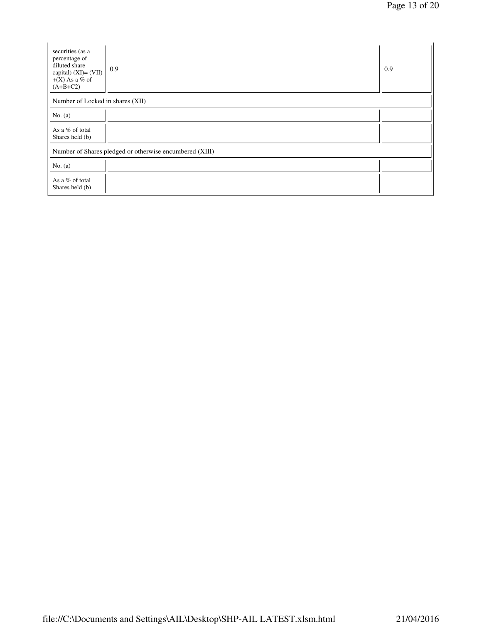| securities (as a<br>percentage of<br>diluted share<br>capital) $(XI) = (VII)$<br>$+(X)$ As a % of<br>$(A+B+C2)$ | 0.9 | 0.9 |  |  |
|-----------------------------------------------------------------------------------------------------------------|-----|-----|--|--|
| Number of Locked in shares (XII)                                                                                |     |     |  |  |
| No. $(a)$                                                                                                       |     |     |  |  |
| As a % of total<br>Shares held (b)                                                                              |     |     |  |  |
| Number of Shares pledged or otherwise encumbered (XIII)                                                         |     |     |  |  |
| No. $(a)$                                                                                                       |     |     |  |  |
| As a % of total<br>Shares held (b)                                                                              |     |     |  |  |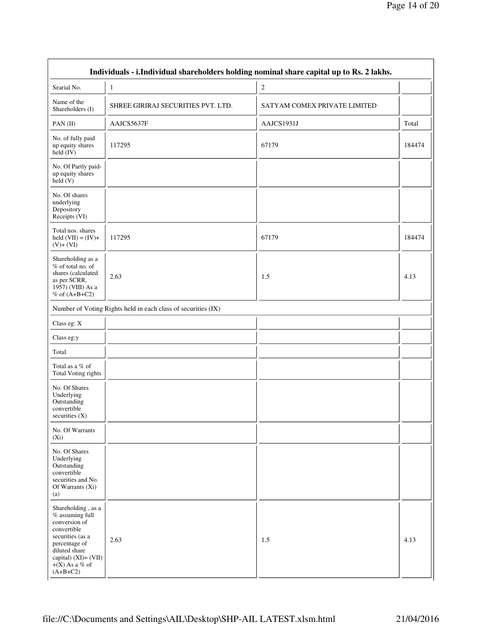|                                                                                                                                                                                            |                                                               | Individuals - i.Individual shareholders holding nominal share capital up to Rs. 2 lakhs. |        |
|--------------------------------------------------------------------------------------------------------------------------------------------------------------------------------------------|---------------------------------------------------------------|------------------------------------------------------------------------------------------|--------|
| Searial No.                                                                                                                                                                                | $\mathbf{1}$                                                  | $\boldsymbol{2}$                                                                         |        |
| Name of the<br>Shareholders (I)                                                                                                                                                            | SHREE GIRIRAJ SECURITIES PVT. LTD.                            | SATYAM COMEX PRIVATE LIMITED                                                             |        |
| PAN(II)                                                                                                                                                                                    | AAJCS5637F                                                    | AAJCS1931J                                                                               | Total  |
| No. of fully paid<br>up equity shares<br>held (IV)                                                                                                                                         | 117295                                                        | 67179                                                                                    | 184474 |
| No. Of Partly paid-<br>up equity shares<br>held(V)                                                                                                                                         |                                                               |                                                                                          |        |
| No. Of shares<br>underlying<br>Depository<br>Receipts (VI)                                                                                                                                 |                                                               |                                                                                          |        |
| Total nos. shares<br>held $(VII) = (IV) +$<br>$(V)+(VI)$                                                                                                                                   | 117295                                                        | 67179                                                                                    | 184474 |
| Shareholding as a<br>$%$ of total no. of<br>shares (calculated<br>as per SCRR,<br>1957) (VIII) As a<br>$%$ of $(A+B+C2)$                                                                   | 2.63                                                          | 1.5                                                                                      | 4.13   |
|                                                                                                                                                                                            | Number of Voting Rights held in each class of securities (IX) |                                                                                          |        |
| Class eg: X                                                                                                                                                                                |                                                               |                                                                                          |        |
| Class eg:y                                                                                                                                                                                 |                                                               |                                                                                          |        |
| Total                                                                                                                                                                                      |                                                               |                                                                                          |        |
| Total as a % of<br><b>Total Voting rights</b>                                                                                                                                              |                                                               |                                                                                          |        |
| No. Of Shares<br>Underlying<br>Outstanding<br>convertible<br>securities (X)                                                                                                                |                                                               |                                                                                          |        |
| No. Of Warrants<br>$(X_i)$                                                                                                                                                                 |                                                               |                                                                                          |        |
| No. Of Shares<br>Underlying<br>Outstanding<br>convertible<br>securities and No.<br>Of Warrants (Xi)<br>(a)                                                                                 |                                                               |                                                                                          |        |
| Shareholding, as a<br>$%$ assuming full<br>conversion of<br>convertible<br>securities (as a<br>percentage of<br>diluted share<br>capital) $(XI) = (VII)$<br>$+(X)$ As a % of<br>$(A+B+C2)$ | 2.63                                                          | 1.5                                                                                      | 4.13   |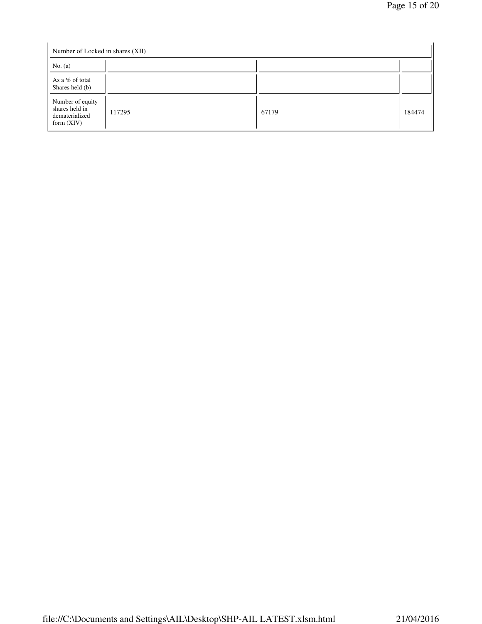| Number of Locked in shares (XII)                                     |        |       |        |  |
|----------------------------------------------------------------------|--------|-------|--------|--|
| No. $(a)$                                                            |        |       |        |  |
| As a % of total<br>Shares held (b)                                   |        |       |        |  |
| Number of equity<br>shares held in<br>dematerialized<br>form $(XIV)$ | 117295 | 67179 | 184474 |  |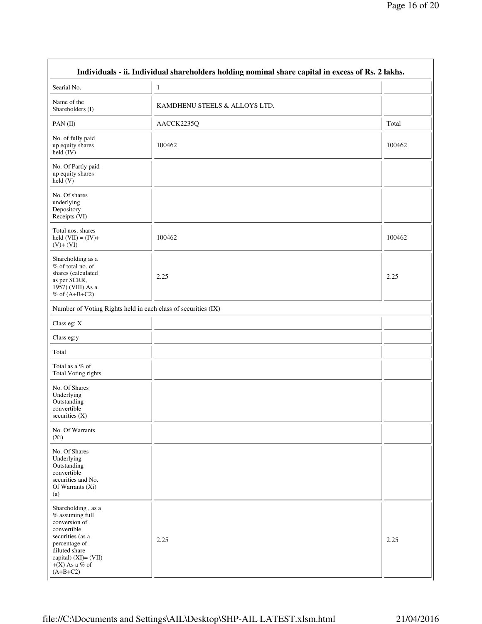|                                                                                                                                                                                         | Individuals - ii. Individual shareholders holding nominal share capital in excess of Rs. 2 lakhs. |        |
|-----------------------------------------------------------------------------------------------------------------------------------------------------------------------------------------|---------------------------------------------------------------------------------------------------|--------|
| Searial No.                                                                                                                                                                             | $\mathbf{1}$                                                                                      |        |
| Name of the<br>Shareholders (I)                                                                                                                                                         | KAMDHENU STEELS & ALLOYS LTD.                                                                     |        |
| PAN(II)                                                                                                                                                                                 | AACCK2235Q                                                                                        | Total  |
| No. of fully paid<br>up equity shares<br>$held$ $(IV)$                                                                                                                                  | 100462                                                                                            | 100462 |
| No. Of Partly paid-<br>up equity shares<br>held(V)                                                                                                                                      |                                                                                                   |        |
| No. Of shares<br>underlying<br>Depository<br>Receipts (VI)                                                                                                                              |                                                                                                   |        |
| Total nos. shares<br>held $(VII) = (IV) +$<br>$(V)+(VI)$                                                                                                                                | 100462                                                                                            | 100462 |
| Shareholding as a<br>% of total no. of<br>shares (calculated<br>as per SCRR,<br>1957) (VIII) As a<br>% of $(A+B+C2)$                                                                    | 2.25                                                                                              | 2.25   |
|                                                                                                                                                                                         | Number of Voting Rights held in each class of securities (IX)                                     |        |
| Class eg: X                                                                                                                                                                             |                                                                                                   |        |
| Class eg:y                                                                                                                                                                              |                                                                                                   |        |
| Total                                                                                                                                                                                   |                                                                                                   |        |
| Total as a % of<br><b>Total Voting rights</b>                                                                                                                                           |                                                                                                   |        |
| No. Of Shares<br>Underlying<br>Outstanding<br>convertible<br>securities (X)                                                                                                             |                                                                                                   |        |
| No. Of Warrants<br>$(X_i)$                                                                                                                                                              |                                                                                                   |        |
| No. Of Shares<br>Underlying<br>Outstanding<br>convertible<br>securities and No.<br>Of Warrants (Xi)<br>(a)                                                                              |                                                                                                   |        |
| Shareholding, as a<br>$%$ assuming full<br>conversion of<br>convertible<br>securities (as a<br>percentage of<br>diluted share<br>capital) (XI)= (VII)<br>$+(X)$ As a % of<br>$(A+B+C2)$ | 2.25                                                                                              | 2.25   |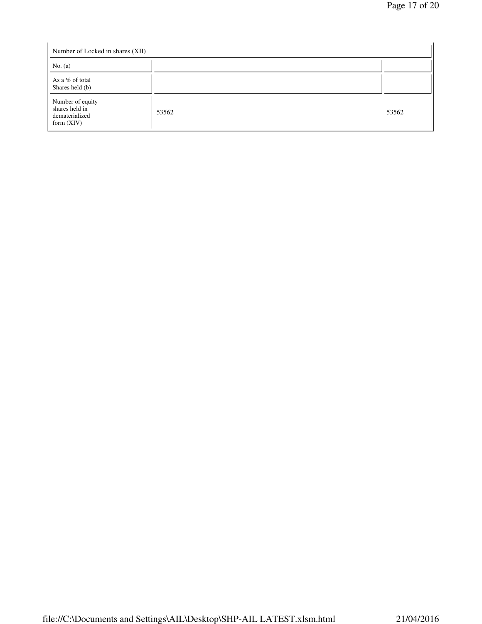| Number of Locked in shares (XII)                                     |       |       |  |  |
|----------------------------------------------------------------------|-------|-------|--|--|
| No. $(a)$                                                            |       |       |  |  |
| As a % of total<br>Shares held (b)                                   |       |       |  |  |
| Number of equity<br>shares held in<br>dematerialized<br>form $(XIV)$ | 53562 | 53562 |  |  |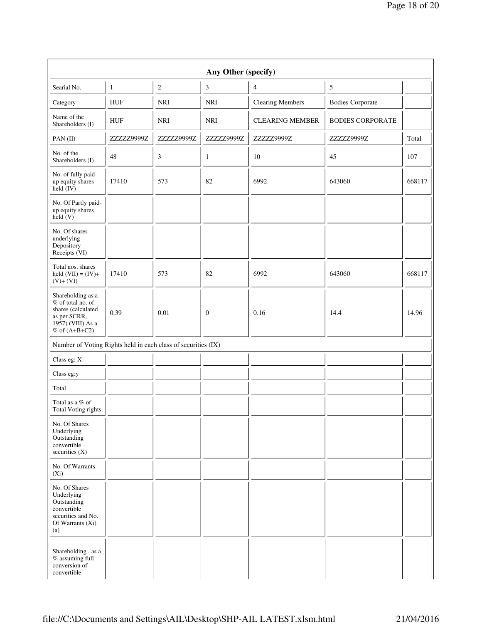| Any Other (specify)                                                                                                    |              |                  |              |                         |                         |        |
|------------------------------------------------------------------------------------------------------------------------|--------------|------------------|--------------|-------------------------|-------------------------|--------|
| Searial No.                                                                                                            | $\mathbf{1}$ | $\boldsymbol{2}$ | 3            | $\overline{4}$          | $\mathfrak s$           |        |
| Category                                                                                                               | <b>HUF</b>   | <b>NRI</b>       | <b>NRI</b>   | <b>Clearing Members</b> | <b>Bodies Corporate</b> |        |
| Name of the<br>Shareholders (I)                                                                                        | <b>HUF</b>   | <b>NRI</b>       | <b>NRI</b>   | <b>CLEARING MEMBER</b>  | <b>BODIES CORPORATE</b> |        |
| PAN(II)                                                                                                                | ZZZZZ9999Z   | ZZZZZ9999Z       | ZZZZZ9999Z   | ZZZZZ9999Z              | ZZZZZ9999Z              | Total  |
| No. of the<br>Shareholders (I)                                                                                         | 48           | 3                | 1            | 10                      | 45                      | 107    |
| No. of fully paid<br>up equity shares<br>$\text{held} (IV)$                                                            | 17410        | 573              | 82           | 6992                    | 643060                  | 668117 |
| No. Of Partly paid-<br>up equity shares<br>held(V)                                                                     |              |                  |              |                         |                         |        |
| No. Of shares<br>underlying<br>Depository<br>Receipts (VI)                                                             |              |                  |              |                         |                         |        |
| Total nos. shares<br>held $(VII) = (IV) +$<br>$(V)+(VI)$                                                               | 17410        | 573              | 82           | 6992                    | 643060                  | 668117 |
| Shareholding as a<br>% of total no. of<br>shares (calculated<br>as per SCRR,<br>1957) (VIII) As a<br>$%$ of $(A+B+C2)$ | 0.39         | 0.01             | $\mathbf{0}$ | 0.16                    | 14.4                    | 14.96  |
| Number of Voting Rights held in each class of securities (IX)                                                          |              |                  |              |                         |                         |        |
| Class eg: X                                                                                                            |              |                  |              |                         |                         |        |
| Class eg:y                                                                                                             |              |                  |              |                         |                         |        |
| Total                                                                                                                  |              |                  |              |                         |                         |        |
| Total as a % of<br>Total Voting rights                                                                                 |              |                  |              |                         |                         |        |
| No. Of Shares<br>Underlying<br>Outstanding<br>convertible<br>securities (X)                                            |              |                  |              |                         |                         |        |
| No. Of Warrants<br>$(X_i)$                                                                                             |              |                  |              |                         |                         |        |
| No. Of Shares<br>Underlying<br>Outstanding<br>convertible<br>securities and No.<br>Of Warrants (Xi)<br>(a)             |              |                  |              |                         |                         |        |
| Shareholding, as a<br>$%$ assuming full<br>conversion of<br>convertible                                                |              |                  |              |                         |                         |        |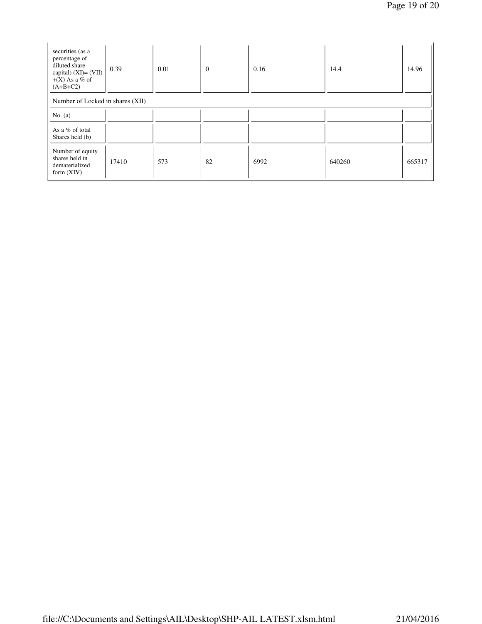| securities (as a<br>percentage of<br>diluted share<br>capital) $(XI) = (VII)$<br>$+(X)$ As a % of<br>$(A+B+C2)$ | 0.39  | 0.01 | $\overline{0}$ | 0.16 | 14.4   | 14.96  |
|-----------------------------------------------------------------------------------------------------------------|-------|------|----------------|------|--------|--------|
| Number of Locked in shares (XII)                                                                                |       |      |                |      |        |        |
| No. $(a)$                                                                                                       |       |      |                |      |        |        |
| As a % of total<br>Shares held (b)                                                                              |       |      |                |      |        |        |
| Number of equity<br>shares held in<br>dematerialized<br>form $(XIV)$                                            | 17410 | 573  | 82             | 6992 | 640260 | 665317 |